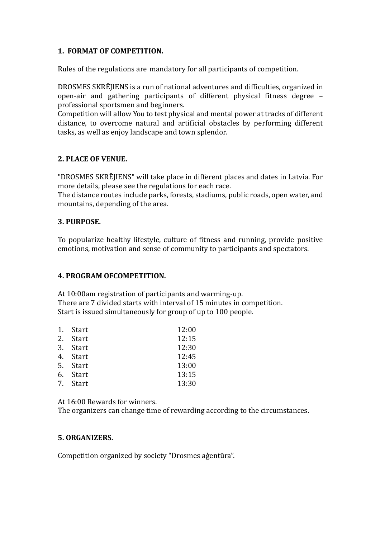## **1. FORMAT OF COMPETITION.**

Rules of the regulations are mandatory for all participants of competition.

DROSMES SKREJIENS is a run of national adventures and difficulties, organized in open-air and gathering participants of different physical fitness degree  $$ professional sportsmen and beginners.

Competition will allow You to test physical and mental power at tracks of different distance, to overcome natural and artificial obstacles by performing different tasks, as well as enjoy landscape and town splendor.

## **2. PLACE OF VENUE.**

"DROSMES SKREJIENS" will take place in different places and dates in Latvia. For more details, please see the regulations for each race.

The distance routes include parks, forests, stadiums, public roads, open water, and mountains, depending of the area.

#### **3. PURPOSE.**

To popularize healthy lifestyle, culture of fitness and running, provide positive emotions, motivation and sense of community to participants and spectators.

## **4. PROGRAM OFCOMPETITION.**

At 10:00am registration of participants and warming-up. There are 7 divided starts with interval of 15 minutes in competition. Start is issued simultaneously for group of up to 100 people.

| 1. | Start    | 12:00 |
|----|----------|-------|
|    | 2. Start | 12:15 |
|    | 3. Start | 12:30 |
|    | 4. Start | 12:45 |
|    | 5. Start | 13:00 |
|    | 6. Start | 13:15 |
|    | 7. Start | 13:30 |
|    |          |       |

At 16:00 Rewards for winners.

The organizers can change time of rewarding according to the circumstances.

## **5. ORGANIZERS.**

Competition organized by society "Drosmes agentūra".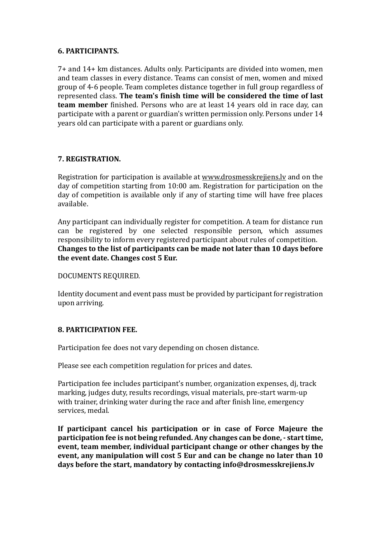## **6. PARTICIPANTS.**

7+ and 14+ km distances. Adults only. Participants are divided into women, men and team classes in every distance. Teams can consist of men, women and mixed group of 4-6 people. Team completes distance together in full group regardless of represented class. The team's finish time will be considered the time of last **team member** finished. Persons who are at least 14 years old in race day, can participate with a parent or guardian's written permission only. Persons under 14 years old can participate with a parent or guardians only.

## **7. REGISTRATION.**

Registration for participation is available at www.drosmesskrejiens.ly and on the day of competition starting from 10:00 am. Registration for participation on the day of competition is available only if any of starting time will have free places available.

Any participant can individually register for competition. A team for distance run can be registered by one selected responsible person, which assumes responsibility to inform every registered participant about rules of competition. Changes to the list of participants can be made not later than 10 days before **the event date. Changes cost 5 Eur.**

DOCUMENTS REQUIRED.

Identity document and event pass must be provided by participant for registration upon arriving. 

## **8. PARTICIPATION FEE.**

Participation fee does not vary depending on chosen distance.

Please see each competition regulation for prices and dates.

Participation fee includes participant's number, organization expenses, di, track marking, judges duty, results recordings, visual materials, pre-start warm-up with trainer, drinking water during the race and after finish line, emergency services, medal.

If participant cancel his participation or in case of Force Majeure the **participation fee is not being refunded. Any changes can be done, - start time,** event, team member, individual participant change or other changes by the **event, any manipulation will cost 5 Eur and can be change no later than 10** days before the start, mandatory by contacting info@drosmesskrejiens.lv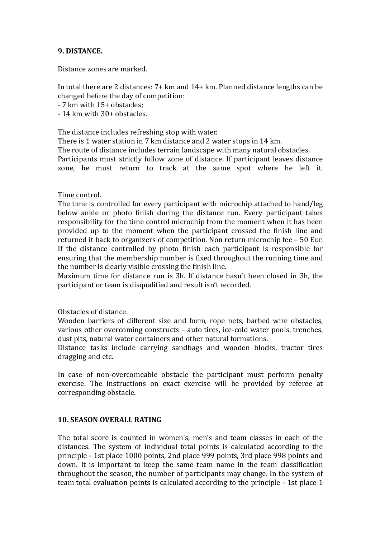## **9. DISTANCE.**

Distance zones are marked.

In total there are 2 distances:  $7+$  km and  $14+$  km. Planned distance lengths can be changed before the day of competition:

- 7 km with 15+ obstacles:
- 14 km with 30+ obstacles.

The distance includes refreshing stop with water.

There is 1 water station in 7 km distance and 2 water stops in 14 km.

The route of distance includes terrain landscape with many natural obstacles.

Participants must strictly follow zone of distance. If participant leaves distance zone, he must return to track at the same spot where he left it.

#### Time control.

The time is controlled for every participant with microchip attached to hand/leg below ankle or photo finish during the distance run. Every participant takes responsibility for the time control microchip from the moment when it has been provided up to the moment when the participant crossed the finish line and returned it back to organizers of competition. Non return microchip fee - 50 Eur. If the distance controlled by photo finish each participant is responsible for ensuring that the membership number is fixed throughout the running time and the number is clearly visible crossing the finish line.

Maximum time for distance run is 3h. If distance hasn't been closed in 3h, the participant or team is disqualified and result isn't recorded.

#### Obstacles of distance.

Wooden barriers of different size and form, rope nets, barbed wire obstacles, various other overcoming constructs – auto tires, ice-cold water pools, trenches, dust pits, natural water containers and other natural formations.

Distance tasks include carrying sandbags and wooden blocks, tractor tires dragging and etc.

In case of non-overcomeable obstacle the participant must perform penalty exercise. The instructions on exact exercise will be provided by referee at corresponding obstacle.

## **10. SEASON OVERALL RATING**

The total score is counted in women's, men's and team classes in each of the distances. The system of individual total points is calculated according to the principle - 1st place 1000 points, 2nd place 999 points, 3rd place 998 points and down. It is important to keep the same team name in the team classification throughout the season, the number of participants may change. In the system of team total evaluation points is calculated according to the principle - 1st place 1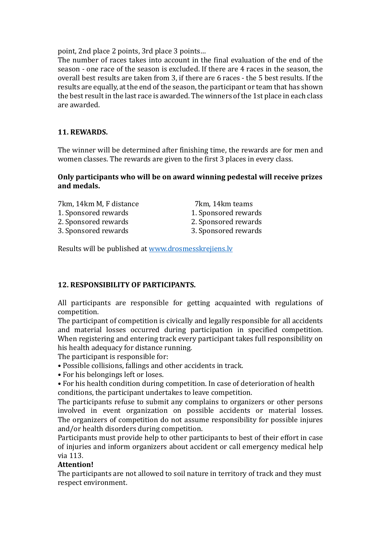point, 2nd place 2 points, 3rd place 3 points...

The number of races takes into account in the final evaluation of the end of the season - one race of the season is excluded. If there are 4 races in the season, the overall best results are taken from 3, if there are 6 races - the 5 best results. If the results are equally, at the end of the season, the participant or team that has shown the best result in the last race is awarded. The winners of the 1st place in each class are awarded.

#### **11. REWARDS.**

The winner will be determined after finishing time, the rewards are for men and women classes. The rewards are given to the first 3 places in every class.

#### **Only participants who will be on award winning pedestal will receive prizes and medals.**

7km, 14km M, F distance 7km, 14km teams 1. Sponsored rewards 1. Sponsored rewards 2. Sponsored rewards 2. Sponsored rewards 3. Sponsored rewards 3. Sponsored rewards

Results will be published at www.drosmesskrejiens.lv

## **12. RESPONSIBILITY OF PARTICIPANTS.**

All participants are responsible for getting acquainted with regulations of competition. 

The participant of competition is civically and legally responsible for all accidents and material losses occurred during participation in specified competition. When registering and entering track every participant takes full responsibility on his health adequacy for distance running.

The participant is responsible for:

• Possible collisions, fallings and other accidents in track.

- For his belongings left or loses.
- For his health condition during competition. In case of deterioration of health conditions, the participant undertakes to leave competition.

The participants refuse to submit any complains to organizers or other persons involved in event organization on possible accidents or material losses. The organizers of competition do not assume responsibility for possible injures and/or health disorders during competition.

Participants must provide help to other participants to best of their effort in case of injuries and inform organizers about accident or call emergency medical help via 113.

## **Attention!**

The participants are not allowed to soil nature in territory of track and they must respect environment.